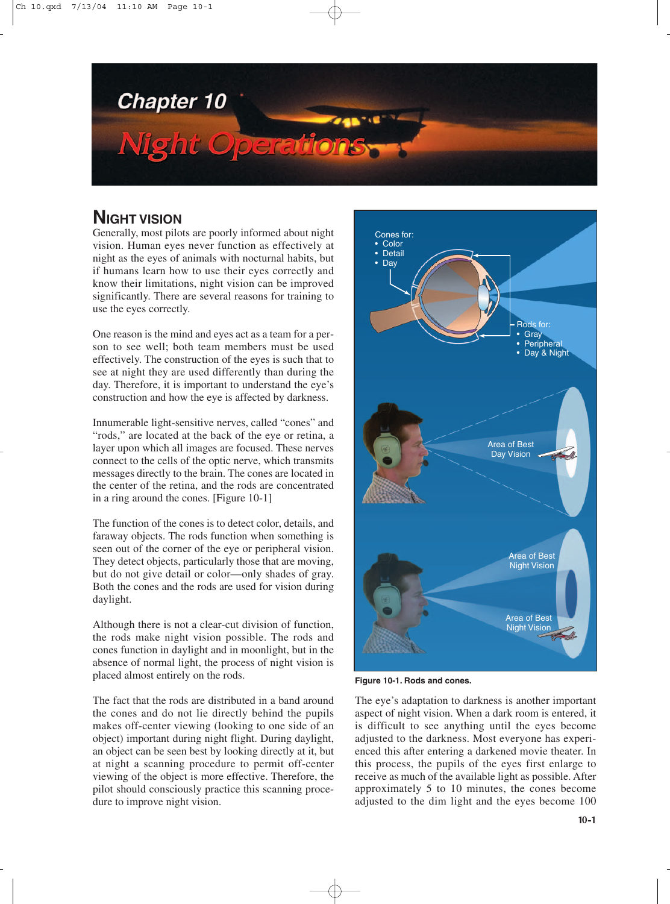

# **NIGHT VISION**

Generally, most pilots are poorly informed about night vision. Human eyes never function as effectively at night as the eyes of animals with nocturnal habits, but if humans learn how to use their eyes correctly and know their limitations, night vision can be improved significantly. There are several reasons for training to use the eyes correctly.

One reason is the mind and eyes act as a team for a person to see well; both team members must be used effectively. The construction of the eyes is such that to see at night they are used differently than during the day. Therefore, it is important to understand the eye's construction and how the eye is affected by darkness.

Innumerable light-sensitive nerves, called "cones" and "rods," are located at the back of the eye or retina, a layer upon which all images are focused. These nerves connect to the cells of the optic nerve, which transmits messages directly to the brain. The cones are located in the center of the retina, and the rods are concentrated in a ring around the cones. [Figure 10-1]

The function of the cones is to detect color, details, and faraway objects. The rods function when something is seen out of the corner of the eye or peripheral vision. They detect objects, particularly those that are moving, but do not give detail or color—only shades of gray. Both the cones and the rods are used for vision during daylight.

Although there is not a clear-cut division of function, the rods make night vision possible. The rods and cones function in daylight and in moonlight, but in the absence of normal light, the process of night vision is placed almost entirely on the rods.

The fact that the rods are distributed in a band around the cones and do not lie directly behind the pupils makes off-center viewing (looking to one side of an object) important during night flight. During daylight, an object can be seen best by looking directly at it, but at night a scanning procedure to permit off-center viewing of the object is more effective. Therefore, the pilot should consciously practice this scanning procedure to improve night vision.



**Figure 10-1. Rods and cones.**

The eye's adaptation to darkness is another important aspect of night vision. When a dark room is entered, it is difficult to see anything until the eyes become adjusted to the darkness. Most everyone has experienced this after entering a darkened movie theater. In this process, the pupils of the eyes first enlarge to receive as much of the available light as possible. After approximately 5 to 10 minutes, the cones become adjusted to the dim light and the eyes become 100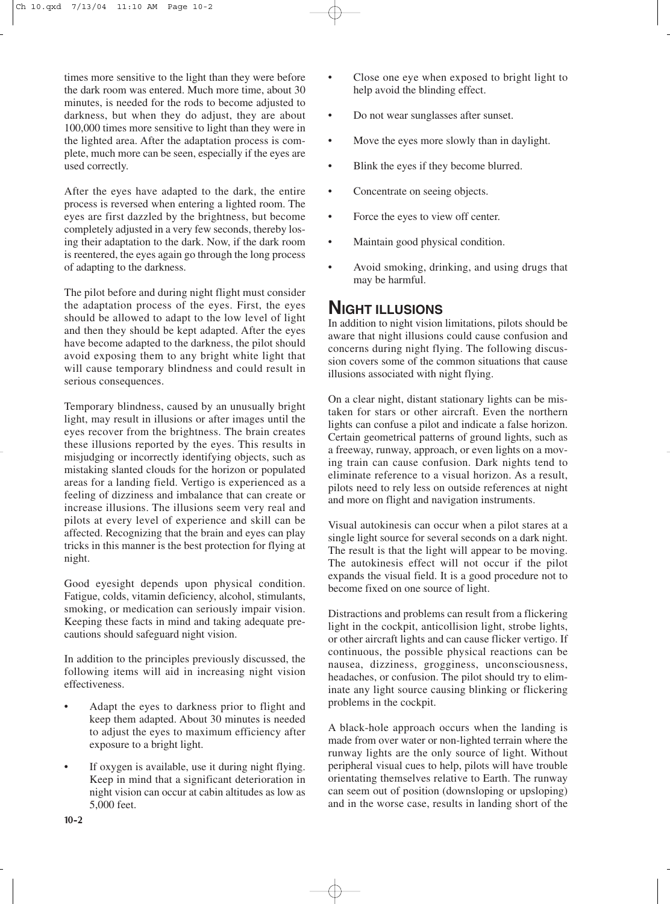times more sensitive to the light than they were before the dark room was entered. Much more time, about 30 minutes, is needed for the rods to become adjusted to darkness, but when they do adjust, they are about 100,000 times more sensitive to light than they were in the lighted area. After the adaptation process is complete, much more can be seen, especially if the eyes are used correctly.

After the eyes have adapted to the dark, the entire process is reversed when entering a lighted room. The eyes are first dazzled by the brightness, but become completely adjusted in a very few seconds, thereby losing their adaptation to the dark. Now, if the dark room is reentered, the eyes again go through the long process of adapting to the darkness.

The pilot before and during night flight must consider the adaptation process of the eyes. First, the eyes should be allowed to adapt to the low level of light and then they should be kept adapted. After the eyes have become adapted to the darkness, the pilot should avoid exposing them to any bright white light that will cause temporary blindness and could result in serious consequences.

Temporary blindness, caused by an unusually bright light, may result in illusions or after images until the eyes recover from the brightness. The brain creates these illusions reported by the eyes. This results in misjudging or incorrectly identifying objects, such as mistaking slanted clouds for the horizon or populated areas for a landing field. Vertigo is experienced as a feeling of dizziness and imbalance that can create or increase illusions. The illusions seem very real and pilots at every level of experience and skill can be affected. Recognizing that the brain and eyes can play tricks in this manner is the best protection for flying at night.

Good eyesight depends upon physical condition. Fatigue, colds, vitamin deficiency, alcohol, stimulants, smoking, or medication can seriously impair vision. Keeping these facts in mind and taking adequate precautions should safeguard night vision.

In addition to the principles previously discussed, the following items will aid in increasing night vision effectiveness.

- Adapt the eyes to darkness prior to flight and keep them adapted. About 30 minutes is needed to adjust the eyes to maximum efficiency after exposure to a bright light.
- If oxygen is available, use it during night flying. Keep in mind that a significant deterioration in night vision can occur at cabin altitudes as low as 5,000 feet.
- Close one eye when exposed to bright light to help avoid the blinding effect.
- Do not wear sunglasses after sunset.
- Move the eyes more slowly than in daylight.
- Blink the eyes if they become blurred.
- Concentrate on seeing objects.
- Force the eyes to view off center.
- Maintain good physical condition.
- Avoid smoking, drinking, and using drugs that may be harmful.

### **NIGHT ILLUSIONS**

In addition to night vision limitations, pilots should be aware that night illusions could cause confusion and concerns during night flying. The following discussion covers some of the common situations that cause illusions associated with night flying.

On a clear night, distant stationary lights can be mistaken for stars or other aircraft. Even the northern lights can confuse a pilot and indicate a false horizon. Certain geometrical patterns of ground lights, such as a freeway, runway, approach, or even lights on a moving train can cause confusion. Dark nights tend to eliminate reference to a visual horizon. As a result, pilots need to rely less on outside references at night and more on flight and navigation instruments.

Visual autokinesis can occur when a pilot stares at a single light source for several seconds on a dark night. The result is that the light will appear to be moving. The autokinesis effect will not occur if the pilot expands the visual field. It is a good procedure not to become fixed on one source of light.

Distractions and problems can result from a flickering light in the cockpit, anticollision light, strobe lights, or other aircraft lights and can cause flicker vertigo. If continuous, the possible physical reactions can be nausea, dizziness, grogginess, unconsciousness, headaches, or confusion. The pilot should try to eliminate any light source causing blinking or flickering problems in the cockpit.

A black-hole approach occurs when the landing is made from over water or non-lighted terrain where the runway lights are the only source of light. Without peripheral visual cues to help, pilots will have trouble orientating themselves relative to Earth. The runway can seem out of position (downsloping or upsloping) and in the worse case, results in landing short of the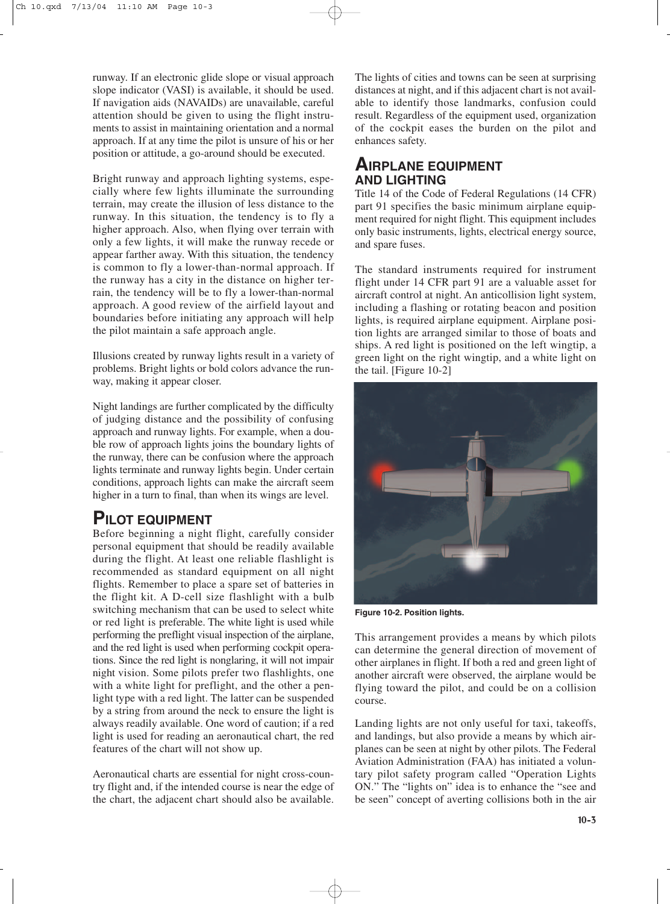runway. If an electronic glide slope or visual approach slope indicator (VASI) is available, it should be used. If navigation aids (NAVAIDs) are unavailable, careful attention should be given to using the flight instruments to assist in maintaining orientation and a normal approach. If at any time the pilot is unsure of his or her position or attitude, a go-around should be executed.

Bright runway and approach lighting systems, especially where few lights illuminate the surrounding terrain, may create the illusion of less distance to the runway. In this situation, the tendency is to fly a higher approach. Also, when flying over terrain with only a few lights, it will make the runway recede or appear farther away. With this situation, the tendency is common to fly a lower-than-normal approach. If the runway has a city in the distance on higher terrain, the tendency will be to fly a lower-than-normal approach. A good review of the airfield layout and boundaries before initiating any approach will help the pilot maintain a safe approach angle.

Illusions created by runway lights result in a variety of problems. Bright lights or bold colors advance the runway, making it appear closer.

Night landings are further complicated by the difficulty of judging distance and the possibility of confusing approach and runway lights. For example, when a double row of approach lights joins the boundary lights of the runway, there can be confusion where the approach lights terminate and runway lights begin. Under certain conditions, approach lights can make the aircraft seem higher in a turn to final, than when its wings are level.

# **PILOT EQUIPMENT**

Before beginning a night flight, carefully consider personal equipment that should be readily available during the flight. At least one reliable flashlight is recommended as standard equipment on all night flights. Remember to place a spare set of batteries in the flight kit. A D-cell size flashlight with a bulb switching mechanism that can be used to select white or red light is preferable. The white light is used while performing the preflight visual inspection of the airplane, and the red light is used when performing cockpit operations. Since the red light is nonglaring, it will not impair night vision. Some pilots prefer two flashlights, one with a white light for preflight, and the other a penlight type with a red light. The latter can be suspended by a string from around the neck to ensure the light is always readily available. One word of caution; if a red light is used for reading an aeronautical chart, the red features of the chart will not show up.

Aeronautical charts are essential for night cross-country flight and, if the intended course is near the edge of the chart, the adjacent chart should also be available. The lights of cities and towns can be seen at surprising distances at night, and if this adjacent chart is not available to identify those landmarks, confusion could result. Regardless of the equipment used, organization of the cockpit eases the burden on the pilot and enhances safety.

### **AIRPLANE EQUIPMENT AND LIGHTING**

Title 14 of the Code of Federal Regulations (14 CFR) part 91 specifies the basic minimum airplane equipment required for night flight. This equipment includes only basic instruments, lights, electrical energy source, and spare fuses.

The standard instruments required for instrument flight under 14 CFR part 91 are a valuable asset for aircraft control at night. An anticollision light system, including a flashing or rotating beacon and position lights, is required airplane equipment. Airplane position lights are arranged similar to those of boats and ships. A red light is positioned on the left wingtip, a green light on the right wingtip, and a white light on the tail. [Figure 10-2]



**Figure 10-2. Position lights.**

This arrangement provides a means by which pilots can determine the general direction of movement of other airplanes in flight. If both a red and green light of another aircraft were observed, the airplane would be flying toward the pilot, and could be on a collision course.

Landing lights are not only useful for taxi, takeoffs, and landings, but also provide a means by which airplanes can be seen at night by other pilots. The Federal Aviation Administration (FAA) has initiated a voluntary pilot safety program called "Operation Lights ON." The "lights on" idea is to enhance the "see and be seen" concept of averting collisions both in the air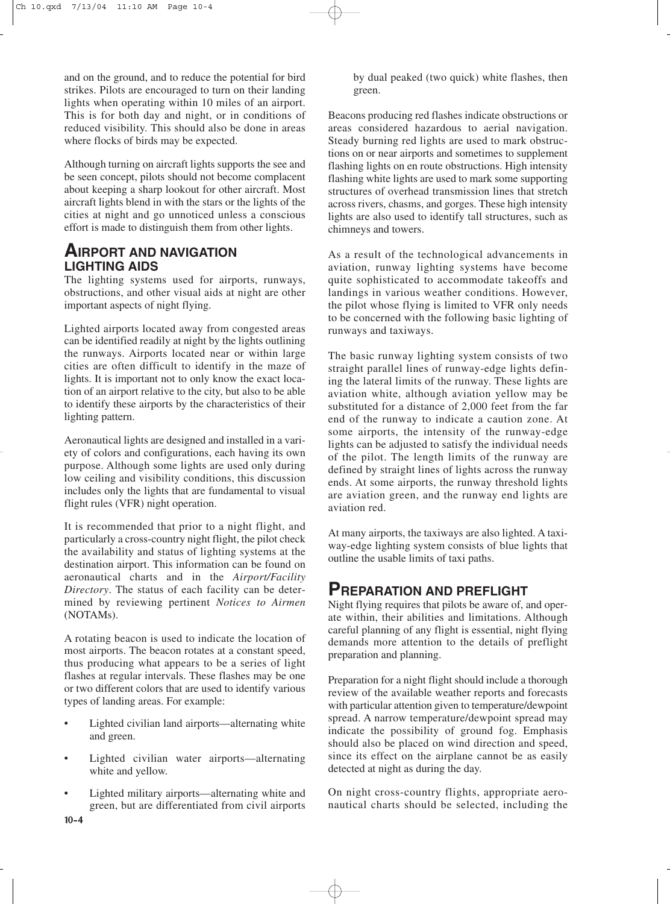and on the ground, and to reduce the potential for bird strikes. Pilots are encouraged to turn on their landing lights when operating within 10 miles of an airport. This is for both day and night, or in conditions of reduced visibility. This should also be done in areas where flocks of birds may be expected.

Although turning on aircraft lights supports the see and be seen concept, pilots should not become complacent about keeping a sharp lookout for other aircraft. Most aircraft lights blend in with the stars or the lights of the cities at night and go unnoticed unless a conscious effort is made to distinguish them from other lights.

### **AIRPORT AND NAVIGATION LIGHTING AIDS**

The lighting systems used for airports, runways, obstructions, and other visual aids at night are other important aspects of night flying.

Lighted airports located away from congested areas can be identified readily at night by the lights outlining the runways. Airports located near or within large cities are often difficult to identify in the maze of lights. It is important not to only know the exact location of an airport relative to the city, but also to be able to identify these airports by the characteristics of their lighting pattern.

Aeronautical lights are designed and installed in a variety of colors and configurations, each having its own purpose. Although some lights are used only during low ceiling and visibility conditions, this discussion includes only the lights that are fundamental to visual flight rules (VFR) night operation.

It is recommended that prior to a night flight, and particularly a cross-country night flight, the pilot check the availability and status of lighting systems at the destination airport. This information can be found on aeronautical charts and in the *Airport/Facility Directory*. The status of each facility can be determined by reviewing pertinent *Notices to Airmen* (NOTAMs).

A rotating beacon is used to indicate the location of most airports. The beacon rotates at a constant speed, thus producing what appears to be a series of light flashes at regular intervals. These flashes may be one or two different colors that are used to identify various types of landing areas. For example:

- Lighted civilian land airports—alternating white and green.
- Lighted civilian water airports—alternating white and yellow.
- Lighted military airports—alternating white and green, but are differentiated from civil airports

by dual peaked (two quick) white flashes, then green.

Beacons producing red flashes indicate obstructions or areas considered hazardous to aerial navigation. Steady burning red lights are used to mark obstructions on or near airports and sometimes to supplement flashing lights on en route obstructions. High intensity flashing white lights are used to mark some supporting structures of overhead transmission lines that stretch across rivers, chasms, and gorges. These high intensity lights are also used to identify tall structures, such as chimneys and towers.

As a result of the technological advancements in aviation, runway lighting systems have become quite sophisticated to accommodate takeoffs and landings in various weather conditions. However, the pilot whose flying is limited to VFR only needs to be concerned with the following basic lighting of runways and taxiways.

The basic runway lighting system consists of two straight parallel lines of runway-edge lights defining the lateral limits of the runway. These lights are aviation white, although aviation yellow may be substituted for a distance of 2,000 feet from the far end of the runway to indicate a caution zone. At some airports, the intensity of the runway-edge lights can be adjusted to satisfy the individual needs of the pilot. The length limits of the runway are defined by straight lines of lights across the runway ends. At some airports, the runway threshold lights are aviation green, and the runway end lights are aviation red.

At many airports, the taxiways are also lighted. A taxiway-edge lighting system consists of blue lights that outline the usable limits of taxi paths.

## **PREPARATION AND PREFLIGHT**

Night flying requires that pilots be aware of, and operate within, their abilities and limitations. Although careful planning of any flight is essential, night flying demands more attention to the details of preflight preparation and planning.

Preparation for a night flight should include a thorough review of the available weather reports and forecasts with particular attention given to temperature/dewpoint spread. A narrow temperature/dewpoint spread may indicate the possibility of ground fog. Emphasis should also be placed on wind direction and speed, since its effect on the airplane cannot be as easily detected at night as during the day.

On night cross-country flights, appropriate aeronautical charts should be selected, including the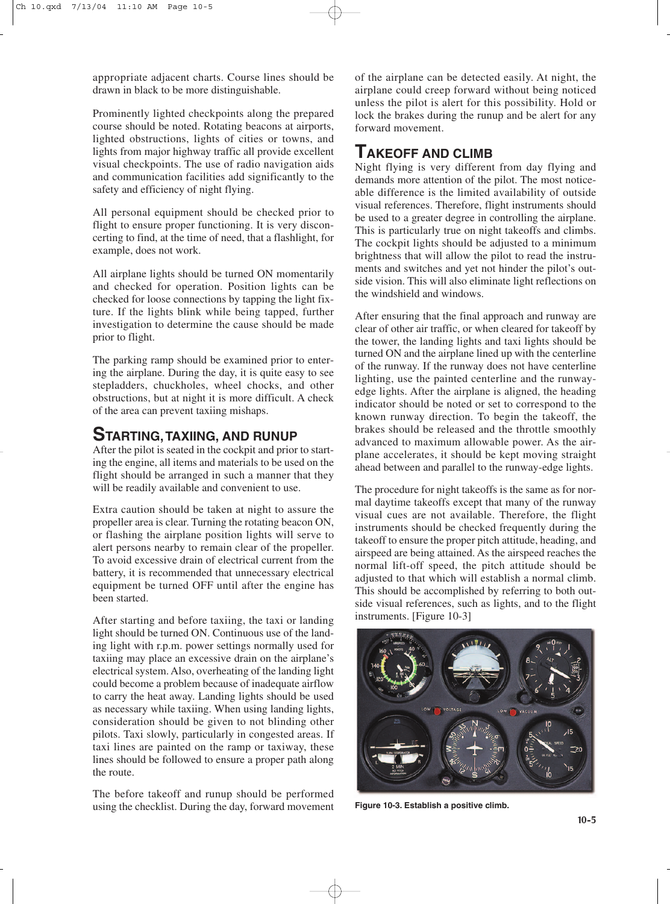appropriate adjacent charts. Course lines should be drawn in black to be more distinguishable.

Prominently lighted checkpoints along the prepared course should be noted. Rotating beacons at airports, lighted obstructions, lights of cities or towns, and lights from major highway traffic all provide excellent visual checkpoints. The use of radio navigation aids and communication facilities add significantly to the safety and efficiency of night flying.

All personal equipment should be checked prior to flight to ensure proper functioning. It is very disconcerting to find, at the time of need, that a flashlight, for example, does not work.

All airplane lights should be turned ON momentarily and checked for operation. Position lights can be checked for loose connections by tapping the light fixture. If the lights blink while being tapped, further investigation to determine the cause should be made prior to flight.

The parking ramp should be examined prior to entering the airplane. During the day, it is quite easy to see stepladders, chuckholes, wheel chocks, and other obstructions, but at night it is more difficult. A check of the area can prevent taxiing mishaps.

#### **STARTING,TAXIING, AND RUNUP**

After the pilot is seated in the cockpit and prior to starting the engine, all items and materials to be used on the flight should be arranged in such a manner that they will be readily available and convenient to use.

Extra caution should be taken at night to assure the propeller area is clear. Turning the rotating beacon ON, or flashing the airplane position lights will serve to alert persons nearby to remain clear of the propeller. To avoid excessive drain of electrical current from the battery, it is recommended that unnecessary electrical equipment be turned OFF until after the engine has been started.

After starting and before taxiing, the taxi or landing light should be turned ON. Continuous use of the landing light with r.p.m. power settings normally used for taxiing may place an excessive drain on the airplane's electrical system. Also, overheating of the landing light could become a problem because of inadequate airflow to carry the heat away. Landing lights should be used as necessary while taxiing. When using landing lights, consideration should be given to not blinding other pilots. Taxi slowly, particularly in congested areas. If taxi lines are painted on the ramp or taxiway, these lines should be followed to ensure a proper path along the route.

The before takeoff and runup should be performed using the checklist. During the day, forward movement of the airplane can be detected easily. At night, the airplane could creep forward without being noticed unless the pilot is alert for this possibility. Hold or lock the brakes during the runup and be alert for any forward movement.

### **TAKEOFF AND CLIMB**

Night flying is very different from day flying and demands more attention of the pilot. The most noticeable difference is the limited availability of outside visual references. Therefore, flight instruments should be used to a greater degree in controlling the airplane. This is particularly true on night takeoffs and climbs. The cockpit lights should be adjusted to a minimum brightness that will allow the pilot to read the instruments and switches and yet not hinder the pilot's outside vision. This will also eliminate light reflections on the windshield and windows.

After ensuring that the final approach and runway are clear of other air traffic, or when cleared for takeoff by the tower, the landing lights and taxi lights should be turned ON and the airplane lined up with the centerline of the runway. If the runway does not have centerline lighting, use the painted centerline and the runwayedge lights. After the airplane is aligned, the heading indicator should be noted or set to correspond to the known runway direction. To begin the takeoff, the brakes should be released and the throttle smoothly advanced to maximum allowable power. As the airplane accelerates, it should be kept moving straight ahead between and parallel to the runway-edge lights.

The procedure for night takeoffs is the same as for normal daytime takeoffs except that many of the runway visual cues are not available. Therefore, the flight instruments should be checked frequently during the takeoff to ensure the proper pitch attitude, heading, and airspeed are being attained. As the airspeed reaches the normal lift-off speed, the pitch attitude should be adjusted to that which will establish a normal climb. This should be accomplished by referring to both outside visual references, such as lights, and to the flight instruments. [Figure 10-3]



**Figure 10-3. Establish a positive climb.**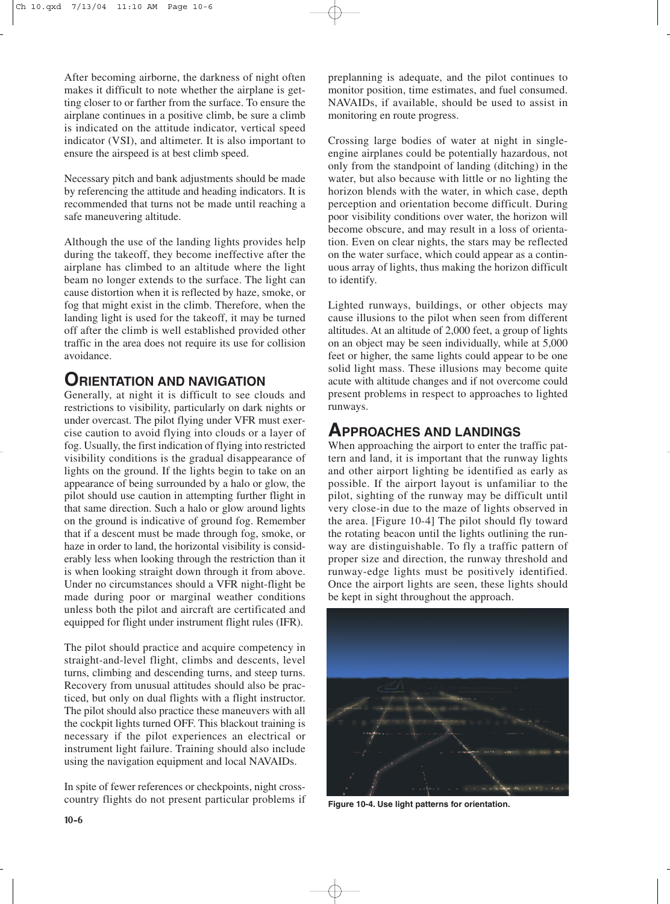After becoming airborne, the darkness of night often makes it difficult to note whether the airplane is getting closer to or farther from the surface. To ensure the airplane continues in a positive climb, be sure a climb is indicated on the attitude indicator, vertical speed indicator (VSI), and altimeter. It is also important to ensure the airspeed is at best climb speed.

Necessary pitch and bank adjustments should be made by referencing the attitude and heading indicators. It is recommended that turns not be made until reaching a safe maneuvering altitude.

Although the use of the landing lights provides help during the takeoff, they become ineffective after the airplane has climbed to an altitude where the light beam no longer extends to the surface. The light can cause distortion when it is reflected by haze, smoke, or fog that might exist in the climb. Therefore, when the landing light is used for the takeoff, it may be turned off after the climb is well established provided other traffic in the area does not require its use for collision avoidance.

#### **ORIENTATION AND NAVIGATION**

Generally, at night it is difficult to see clouds and restrictions to visibility, particularly on dark nights or under overcast. The pilot flying under VFR must exercise caution to avoid flying into clouds or a layer of fog. Usually, the first indication of flying into restricted visibility conditions is the gradual disappearance of lights on the ground. If the lights begin to take on an appearance of being surrounded by a halo or glow, the pilot should use caution in attempting further flight in that same direction. Such a halo or glow around lights on the ground is indicative of ground fog. Remember that if a descent must be made through fog, smoke, or haze in order to land, the horizontal visibility is considerably less when looking through the restriction than it is when looking straight down through it from above. Under no circumstances should a VFR night-flight be made during poor or marginal weather conditions unless both the pilot and aircraft are certificated and equipped for flight under instrument flight rules (IFR).

The pilot should practice and acquire competency in straight-and-level flight, climbs and descents, level turns, climbing and descending turns, and steep turns. Recovery from unusual attitudes should also be practiced, but only on dual flights with a flight instructor. The pilot should also practice these maneuvers with all the cockpit lights turned OFF. This blackout training is necessary if the pilot experiences an electrical or instrument light failure. Training should also include using the navigation equipment and local NAVAIDs.

In spite of fewer references or checkpoints, night crosscountry flights do not present particular problems if preplanning is adequate, and the pilot continues to monitor position, time estimates, and fuel consumed. NAVAIDs, if available, should be used to assist in monitoring en route progress.

Crossing large bodies of water at night in singleengine airplanes could be potentially hazardous, not only from the standpoint of landing (ditching) in the water, but also because with little or no lighting the horizon blends with the water, in which case, depth perception and orientation become difficult. During poor visibility conditions over water, the horizon will become obscure, and may result in a loss of orientation. Even on clear nights, the stars may be reflected on the water surface, which could appear as a continuous array of lights, thus making the horizon difficult to identify.

Lighted runways, buildings, or other objects may cause illusions to the pilot when seen from different altitudes. At an altitude of 2,000 feet, a group of lights on an object may be seen individually, while at 5,000 feet or higher, the same lights could appear to be one solid light mass. These illusions may become quite acute with altitude changes and if not overcome could present problems in respect to approaches to lighted runways.

### **APPROACHES AND LANDINGS**

When approaching the airport to enter the traffic pattern and land, it is important that the runway lights and other airport lighting be identified as early as possible. If the airport layout is unfamiliar to the pilot, sighting of the runway may be difficult until very close-in due to the maze of lights observed in the area. [Figure 10-4] The pilot should fly toward the rotating beacon until the lights outlining the runway are distinguishable. To fly a traffic pattern of proper size and direction, the runway threshold and runway-edge lights must be positively identified. Once the airport lights are seen, these lights should be kept in sight throughout the approach.



**Figure 10-4. Use light patterns for orientation.**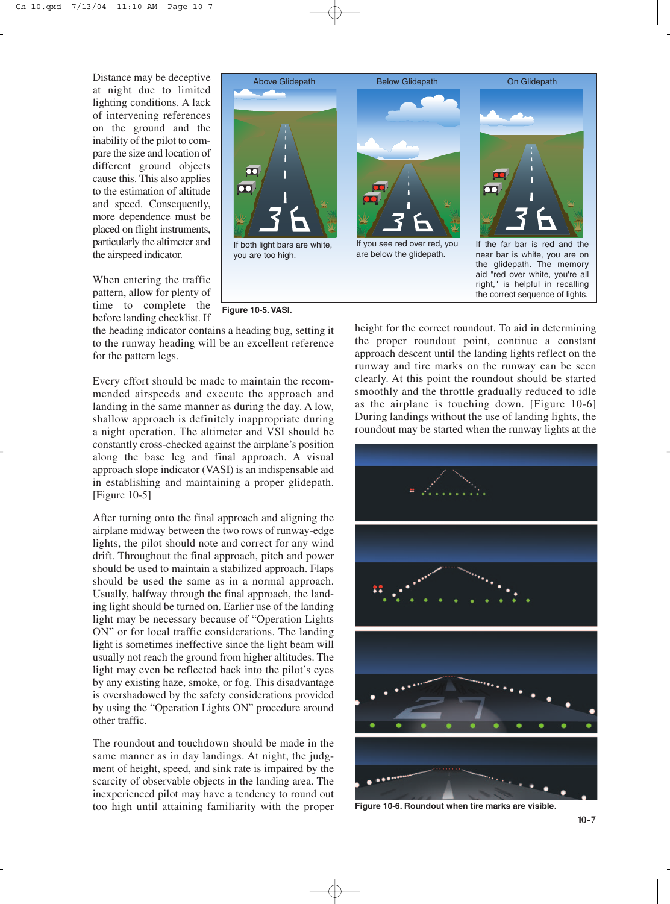Distance may be deceptive at night due to limited lighting conditions. A lack of intervening references on the ground and the inability of the pilot to compare the size and location of different ground objects cause this. This also applies to the estimation of altitude and speed. Consequently, more dependence must be placed on flight instruments, particularly the altimeter and the airspeed indicator.

When entering the traffic pattern, allow for plenty of time to complete the before landing checklist. If



**Figure 10-5. VASI.**

the heading indicator contains a heading bug, setting it to the runway heading will be an excellent reference for the pattern legs.

Every effort should be made to maintain the recommended airspeeds and execute the approach and landing in the same manner as during the day. A low, shallow approach is definitely inappropriate during a night operation. The altimeter and VSI should be constantly cross-checked against the airplane's position along the base leg and final approach. A visual approach slope indicator (VASI) is an indispensable aid in establishing and maintaining a proper glidepath. [Figure 10-5]

After turning onto the final approach and aligning the airplane midway between the two rows of runway-edge lights, the pilot should note and correct for any wind drift. Throughout the final approach, pitch and power should be used to maintain a stabilized approach. Flaps should be used the same as in a normal approach. Usually, halfway through the final approach, the landing light should be turned on. Earlier use of the landing light may be necessary because of "Operation Lights ON" or for local traffic considerations. The landing light is sometimes ineffective since the light beam will usually not reach the ground from higher altitudes. The light may even be reflected back into the pilot's eyes by any existing haze, smoke, or fog. This disadvantage is overshadowed by the safety considerations provided by using the "Operation Lights ON" procedure around other traffic.

The roundout and touchdown should be made in the same manner as in day landings. At night, the judgment of height, speed, and sink rate is impaired by the scarcity of observable objects in the landing area. The inexperienced pilot may have a tendency to round out too high until attaining familiarity with the proper height for the correct roundout. To aid in determining the proper roundout point, continue a constant approach descent until the landing lights reflect on the runway and tire marks on the runway can be seen clearly. At this point the roundout should be started smoothly and the throttle gradually reduced to idle as the airplane is touching down. [Figure 10-6] During landings without the use of landing lights, the roundout may be started when the runway lights at the



**Figure 10-6. Roundout when tire marks are visible.**